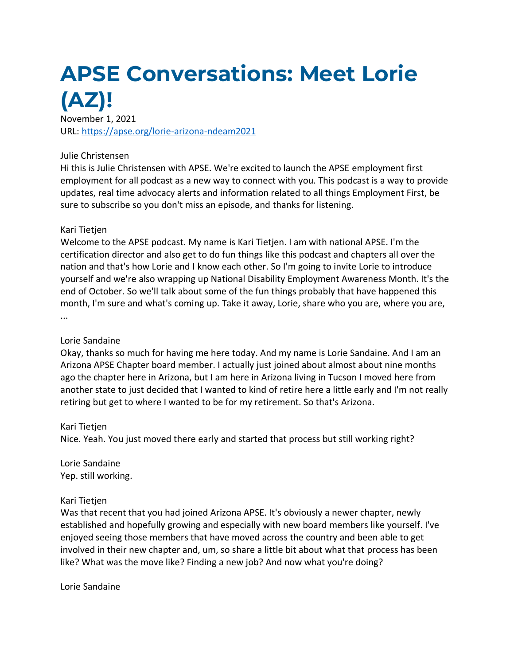# **APSE Conversations: Meet Lorie (AZ)!**

November 1, 2021 URL: <https://apse.org/lorie-arizona-ndeam2021>

#### Julie Christensen

Hi this is Julie Christensen with APSE. We're excited to launch the APSE employment first employment for all podcast as a new way to connect with you. This podcast is a way to provide updates, real time advocacy alerts and information related to all things Employment First, be sure to subscribe so you don't miss an episode, and thanks for listening.

#### Kari Tietjen

Welcome to the APSE podcast. My name is Kari Tietjen. I am with national APSE. I'm the certification director and also get to do fun things like this podcast and chapters all over the nation and that's how Lorie and I know each other. So I'm going to invite Lorie to introduce yourself and we're also wrapping up National Disability Employment Awareness Month. It's the end of October. So we'll talk about some of the fun things probably that have happened this month, I'm sure and what's coming up. Take it away, Lorie, share who you are, where you are, ...

#### Lorie Sandaine

Okay, thanks so much for having me here today. And my name is Lorie Sandaine. And I am an Arizona APSE Chapter board member. I actually just joined about almost about nine months ago the chapter here in Arizona, but I am here in Arizona living in Tucson I moved here from another state to just decided that I wanted to kind of retire here a little early and I'm not really retiring but get to where I wanted to be for my retirement. So that's Arizona.

## Kari Tietjen

Nice. Yeah. You just moved there early and started that process but still working right?

Lorie Sandaine Yep. still working.

## Kari Tietjen

Was that recent that you had joined Arizona APSE. It's obviously a newer chapter, newly established and hopefully growing and especially with new board members like yourself. I've enjoyed seeing those members that have moved across the country and been able to get involved in their new chapter and, um, so share a little bit about what that process has been like? What was the move like? Finding a new job? And now what you're doing?

Lorie Sandaine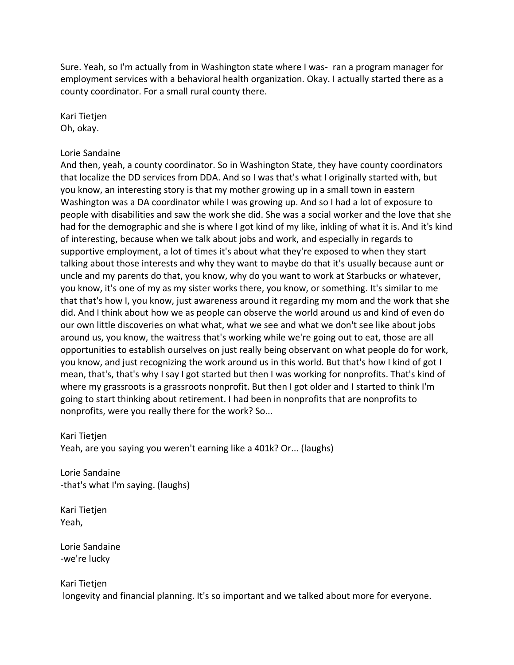Sure. Yeah, so I'm actually from in Washington state where I was- ran a program manager for employment services with a behavioral health organization. Okay. I actually started there as a county coordinator. For a small rural county there.

Kari Tietjen Oh, okay.

#### Lorie Sandaine

And then, yeah, a county coordinator. So in Washington State, they have county coordinators that localize the DD services from DDA. And so I was that's what I originally started with, but you know, an interesting story is that my mother growing up in a small town in eastern Washington was a DA coordinator while I was growing up. And so I had a lot of exposure to people with disabilities and saw the work she did. She was a social worker and the love that she had for the demographic and she is where I got kind of my like, inkling of what it is. And it's kind of interesting, because when we talk about jobs and work, and especially in regards to supportive employment, a lot of times it's about what they're exposed to when they start talking about those interests and why they want to maybe do that it's usually because aunt or uncle and my parents do that, you know, why do you want to work at Starbucks or whatever, you know, it's one of my as my sister works there, you know, or something. It's similar to me that that's how I, you know, just awareness around it regarding my mom and the work that she did. And I think about how we as people can observe the world around us and kind of even do our own little discoveries on what what, what we see and what we don't see like about jobs around us, you know, the waitress that's working while we're going out to eat, those are all opportunities to establish ourselves on just really being observant on what people do for work, you know, and just recognizing the work around us in this world. But that's how I kind of got I mean, that's, that's why I say I got started but then I was working for nonprofits. That's kind of where my grassroots is a grassroots nonprofit. But then I got older and I started to think I'm going to start thinking about retirement. I had been in nonprofits that are nonprofits to nonprofits, were you really there for the work? So...

#### Kari Tietjen

Yeah, are you saying you weren't earning like a 401k? Or... (laughs)

Lorie Sandaine -that's what I'm saying. (laughs)

Kari Tietjen Yeah,

Lorie Sandaine -we're lucky

#### Kari Tietjen

longevity and financial planning. It's so important and we talked about more for everyone.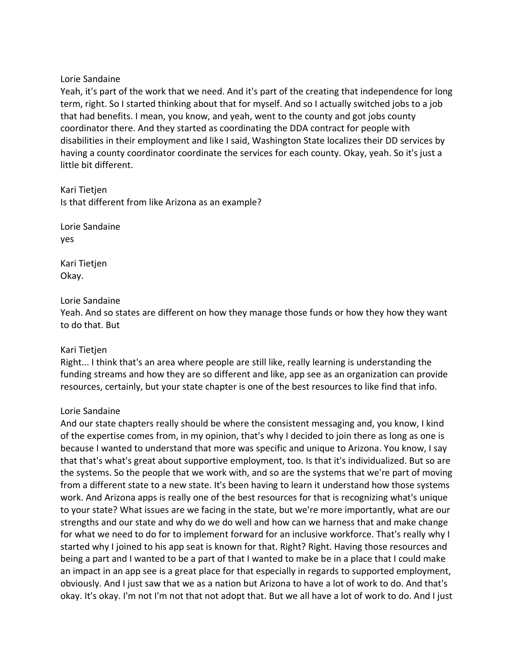#### Lorie Sandaine

Yeah, it's part of the work that we need. And it's part of the creating that independence for long term, right. So I started thinking about that for myself. And so I actually switched jobs to a job that had benefits. I mean, you know, and yeah, went to the county and got jobs county coordinator there. And they started as coordinating the DDA contract for people with disabilities in their employment and like I said, Washington State localizes their DD services by having a county coordinator coordinate the services for each county. Okay, yeah. So it's just a little bit different.

Kari Tietjen Is that different from like Arizona as an example?

Lorie Sandaine yes

Kari Tietjen Okay.

## Lorie Sandaine

Yeah. And so states are different on how they manage those funds or how they how they want to do that. But

#### Kari Tietjen

Right... I think that's an area where people are still like, really learning is understanding the funding streams and how they are so different and like, app see as an organization can provide resources, certainly, but your state chapter is one of the best resources to like find that info.

## Lorie Sandaine

And our state chapters really should be where the consistent messaging and, you know, I kind of the expertise comes from, in my opinion, that's why I decided to join there as long as one is because I wanted to understand that more was specific and unique to Arizona. You know, I say that that's what's great about supportive employment, too. Is that it's individualized. But so are the systems. So the people that we work with, and so are the systems that we're part of moving from a different state to a new state. It's been having to learn it understand how those systems work. And Arizona apps is really one of the best resources for that is recognizing what's unique to your state? What issues are we facing in the state, but we're more importantly, what are our strengths and our state and why do we do well and how can we harness that and make change for what we need to do for to implement forward for an inclusive workforce. That's really why I started why I joined to his app seat is known for that. Right? Right. Having those resources and being a part and I wanted to be a part of that I wanted to make be in a place that I could make an impact in an app see is a great place for that especially in regards to supported employment, obviously. And I just saw that we as a nation but Arizona to have a lot of work to do. And that's okay. It's okay. I'm not I'm not that not adopt that. But we all have a lot of work to do. And I just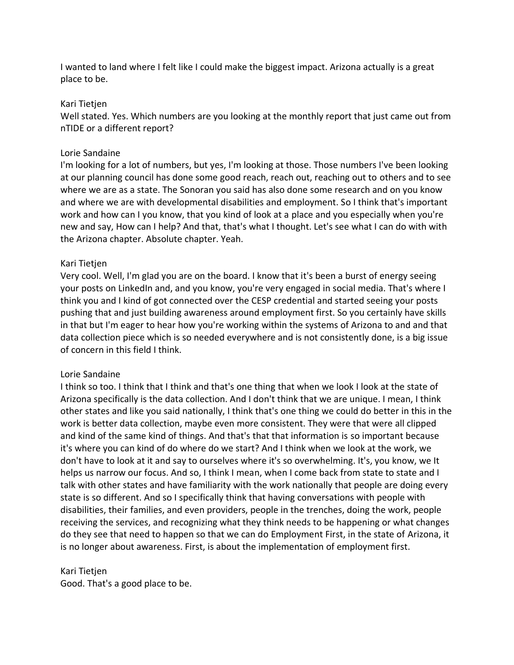I wanted to land where I felt like I could make the biggest impact. Arizona actually is a great place to be.

## Kari Tietjen

Well stated. Yes. Which numbers are you looking at the monthly report that just came out from nTIDE or a different report?

# Lorie Sandaine

I'm looking for a lot of numbers, but yes, I'm looking at those. Those numbers I've been looking at our planning council has done some good reach, reach out, reaching out to others and to see where we are as a state. The Sonoran you said has also done some research and on you know and where we are with developmental disabilities and employment. So I think that's important work and how can I you know, that you kind of look at a place and you especially when you're new and say, How can I help? And that, that's what I thought. Let's see what I can do with with the Arizona chapter. Absolute chapter. Yeah.

## Kari Tietjen

Very cool. Well, I'm glad you are on the board. I know that it's been a burst of energy seeing your posts on LinkedIn and, and you know, you're very engaged in social media. That's where I think you and I kind of got connected over the CESP credential and started seeing your posts pushing that and just building awareness around employment first. So you certainly have skills in that but I'm eager to hear how you're working within the systems of Arizona to and and that data collection piece which is so needed everywhere and is not consistently done, is a big issue of concern in this field I think.

# Lorie Sandaine

I think so too. I think that I think and that's one thing that when we look I look at the state of Arizona specifically is the data collection. And I don't think that we are unique. I mean, I think other states and like you said nationally, I think that's one thing we could do better in this in the work is better data collection, maybe even more consistent. They were that were all clipped and kind of the same kind of things. And that's that that information is so important because it's where you can kind of do where do we start? And I think when we look at the work, we don't have to look at it and say to ourselves where it's so overwhelming. It's, you know, we It helps us narrow our focus. And so, I think I mean, when I come back from state to state and I talk with other states and have familiarity with the work nationally that people are doing every state is so different. And so I specifically think that having conversations with people with disabilities, their families, and even providers, people in the trenches, doing the work, people receiving the services, and recognizing what they think needs to be happening or what changes do they see that need to happen so that we can do Employment First, in the state of Arizona, it is no longer about awareness. First, is about the implementation of employment first.

## Kari Tietjen

Good. That's a good place to be.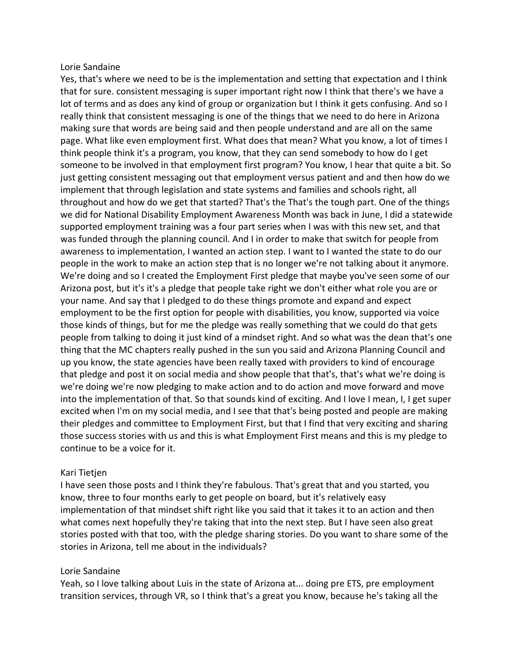#### Lorie Sandaine

Yes, that's where we need to be is the implementation and setting that expectation and I think that for sure. consistent messaging is super important right now I think that there's we have a lot of terms and as does any kind of group or organization but I think it gets confusing. And so I really think that consistent messaging is one of the things that we need to do here in Arizona making sure that words are being said and then people understand and are all on the same page. What like even employment first. What does that mean? What you know, a lot of times I think people think it's a program, you know, that they can send somebody to how do I get someone to be involved in that employment first program? You know, I hear that quite a bit. So just getting consistent messaging out that employment versus patient and and then how do we implement that through legislation and state systems and families and schools right, all throughout and how do we get that started? That's the That's the tough part. One of the things we did for National Disability Employment Awareness Month was back in June, I did a statewide supported employment training was a four part series when I was with this new set, and that was funded through the planning council. And I in order to make that switch for people from awareness to implementation, I wanted an action step. I want to I wanted the state to do our people in the work to make an action step that is no longer we're not talking about it anymore. We're doing and so I created the Employment First pledge that maybe you've seen some of our Arizona post, but it's it's a pledge that people take right we don't either what role you are or your name. And say that I pledged to do these things promote and expand and expect employment to be the first option for people with disabilities, you know, supported via voice those kinds of things, but for me the pledge was really something that we could do that gets people from talking to doing it just kind of a mindset right. And so what was the dean that's one thing that the MC chapters really pushed in the sun you said and Arizona Planning Council and up you know, the state agencies have been really taxed with providers to kind of encourage that pledge and post it on social media and show people that that's, that's what we're doing is we're doing we're now pledging to make action and to do action and move forward and move into the implementation of that. So that sounds kind of exciting. And I love I mean, I, I get super excited when I'm on my social media, and I see that that's being posted and people are making their pledges and committee to Employment First, but that I find that very exciting and sharing those success stories with us and this is what Employment First means and this is my pledge to continue to be a voice for it.

## Kari Tietjen

I have seen those posts and I think they're fabulous. That's great that and you started, you know, three to four months early to get people on board, but it's relatively easy implementation of that mindset shift right like you said that it takes it to an action and then what comes next hopefully they're taking that into the next step. But I have seen also great stories posted with that too, with the pledge sharing stories. Do you want to share some of the stories in Arizona, tell me about in the individuals?

## Lorie Sandaine

Yeah, so I love talking about Luis in the state of Arizona at... doing pre ETS, pre employment transition services, through VR, so I think that's a great you know, because he's taking all the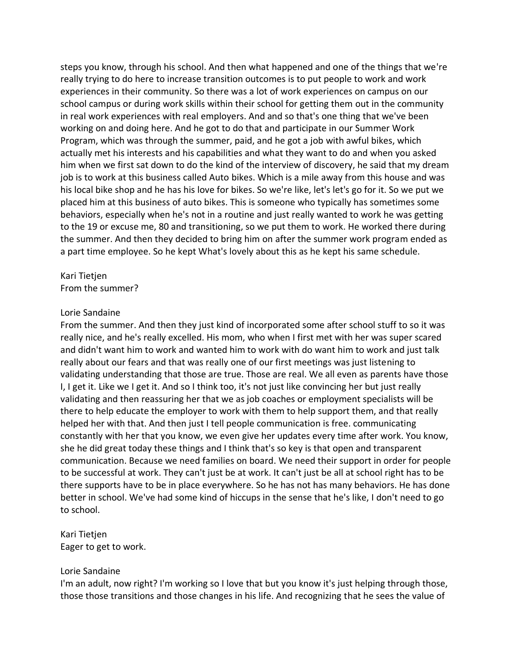steps you know, through his school. And then what happened and one of the things that we're really trying to do here to increase transition outcomes is to put people to work and work experiences in their community. So there was a lot of work experiences on campus on our school campus or during work skills within their school for getting them out in the community in real work experiences with real employers. And and so that's one thing that we've been working on and doing here. And he got to do that and participate in our Summer Work Program, which was through the summer, paid, and he got a job with awful bikes, which actually met his interests and his capabilities and what they want to do and when you asked him when we first sat down to do the kind of the interview of discovery, he said that my dream job is to work at this business called Auto bikes. Which is a mile away from this house and was his local bike shop and he has his love for bikes. So we're like, let's let's go for it. So we put we placed him at this business of auto bikes. This is someone who typically has sometimes some behaviors, especially when he's not in a routine and just really wanted to work he was getting to the 19 or excuse me, 80 and transitioning, so we put them to work. He worked there during the summer. And then they decided to bring him on after the summer work program ended as a part time employee. So he kept What's lovely about this as he kept his same schedule.

#### Kari Tietjen From the summer?

#### Lorie Sandaine

From the summer. And then they just kind of incorporated some after school stuff to so it was really nice, and he's really excelled. His mom, who when I first met with her was super scared and didn't want him to work and wanted him to work with do want him to work and just talk really about our fears and that was really one of our first meetings was just listening to validating understanding that those are true. Those are real. We all even as parents have those I, I get it. Like we I get it. And so I think too, it's not just like convincing her but just really validating and then reassuring her that we as job coaches or employment specialists will be there to help educate the employer to work with them to help support them, and that really helped her with that. And then just I tell people communication is free. communicating constantly with her that you know, we even give her updates every time after work. You know, she he did great today these things and I think that's so key is that open and transparent communication. Because we need families on board. We need their support in order for people to be successful at work. They can't just be at work. It can't just be all at school right has to be there supports have to be in place everywhere. So he has not has many behaviors. He has done better in school. We've had some kind of hiccups in the sense that he's like, I don't need to go to school.

#### Kari Tietjen Eager to get to work.

#### Lorie Sandaine

I'm an adult, now right? I'm working so I love that but you know it's just helping through those, those those transitions and those changes in his life. And recognizing that he sees the value of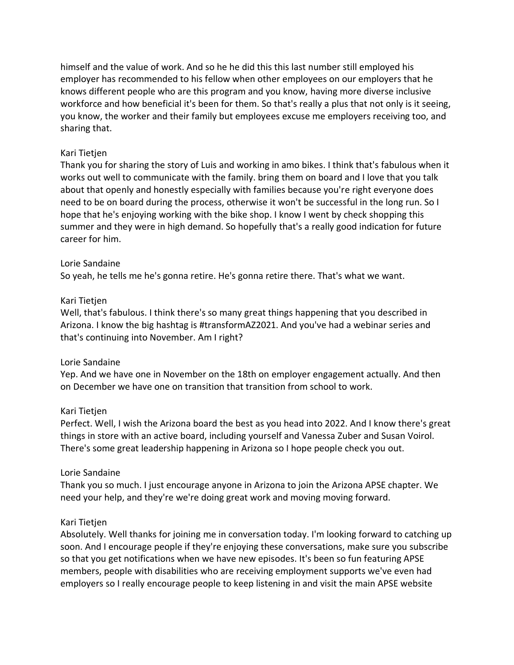himself and the value of work. And so he he did this this last number still employed his employer has recommended to his fellow when other employees on our employers that he knows different people who are this program and you know, having more diverse inclusive workforce and how beneficial it's been for them. So that's really a plus that not only is it seeing, you know, the worker and their family but employees excuse me employers receiving too, and sharing that.

## Kari Tietjen

Thank you for sharing the story of Luis and working in amo bikes. I think that's fabulous when it works out well to communicate with the family. bring them on board and I love that you talk about that openly and honestly especially with families because you're right everyone does need to be on board during the process, otherwise it won't be successful in the long run. So I hope that he's enjoying working with the bike shop. I know I went by check shopping this summer and they were in high demand. So hopefully that's a really good indication for future career for him.

## Lorie Sandaine

So yeah, he tells me he's gonna retire. He's gonna retire there. That's what we want.

## Kari Tietjen

Well, that's fabulous. I think there's so many great things happening that you described in Arizona. I know the big hashtag is #transformAZ2021. And you've had a webinar series and that's continuing into November. Am I right?

# Lorie Sandaine

Yep. And we have one in November on the 18th on employer engagement actually. And then on December we have one on transition that transition from school to work.

## Kari Tietjen

Perfect. Well, I wish the Arizona board the best as you head into 2022. And I know there's great things in store with an active board, including yourself and Vanessa Zuber and Susan Voirol. There's some great leadership happening in Arizona so I hope people check you out.

# Lorie Sandaine

Thank you so much. I just encourage anyone in Arizona to join the Arizona APSE chapter. We need your help, and they're we're doing great work and moving moving forward.

## Kari Tietjen

Absolutely. Well thanks for joining me in conversation today. I'm looking forward to catching up soon. And I encourage people if they're enjoying these conversations, make sure you subscribe so that you get notifications when we have new episodes. It's been so fun featuring APSE members, people with disabilities who are receiving employment supports we've even had employers so I really encourage people to keep listening in and visit the main APSE website